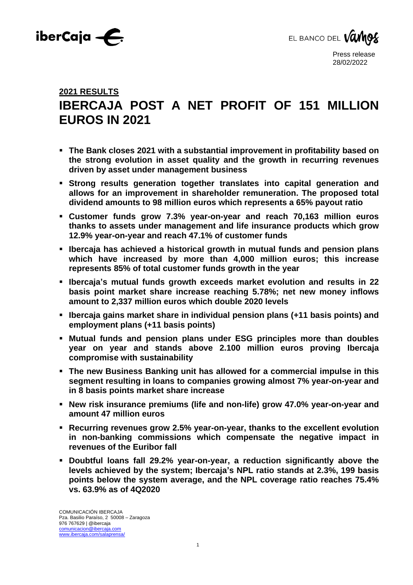



# **2021 RESULTS IBERCAJA POST A NET PROFIT OF 151 MILLION EUROS IN 2021**

- **The Bank closes 2021 with a substantial improvement in profitability based on the strong evolution in asset quality and the growth in recurring revenues driven by asset under management business**
- **Strong results generation together translates into capital generation and allows for an improvement in shareholder remuneration. The proposed total dividend amounts to 98 million euros which represents a 65% payout ratio**
- **Customer funds grow 7.3% year-on-year and reach 70,163 million euros thanks to assets under management and life insurance products which grow 12.9% year-on-year and reach 47.1% of customer funds**
- **Ibercaja has achieved a historical growth in mutual funds and pension plans which have increased by more than 4,000 million euros; this increase represents 85% of total customer funds growth in the year**
- **Ibercaja's mutual funds growth exceeds market evolution and results in 22 basis point market share increase reaching 5.78%; net new money inflows amount to 2,337 million euros which double 2020 levels**
- **Ibercaja gains market share in individual pension plans (+11 basis points) and employment plans (+11 basis points)**
- **Mutual funds and pension plans under ESG principles more than doubles year on year and stands above 2.100 million euros proving Ibercaja compromise with sustainability**
- **The new Business Banking unit has allowed for a commercial impulse in this segment resulting in loans to companies growing almost 7% year-on-year and in 8 basis points market share increase**
- **New risk insurance premiums (life and non-life) grow 47.0% year-on-year and amount 47 million euros**
- **Recurring revenues grow 2.5% year-on-year, thanks to the excellent evolution in non-banking commissions which compensate the negative impact in revenues of the Euribor fall**
- **Doubtful loans fall 29.2% year-on-year, a reduction significantly above the levels achieved by the system; Ibercaja's NPL ratio stands at 2.3%, 199 basis points below the system average, and the NPL coverage ratio reaches 75.4% vs. 63.9% as of 4Q2020**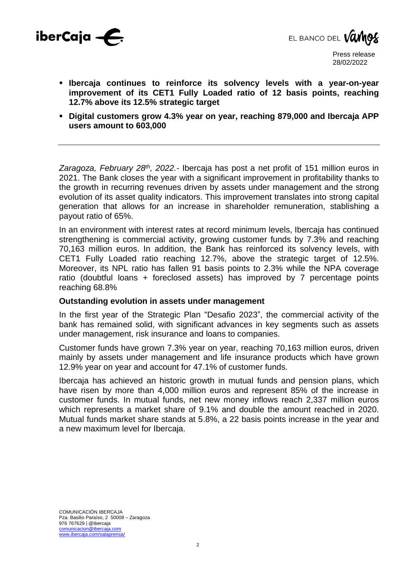



- **Ibercaja continues to reinforce its solvency levels with a year-on-year improvement of its CET1 Fully Loaded ratio of 12 basis points, reaching 12.7% above its 12.5% strategic target**
- **Digital customers grow 4.3% year on year, reaching 879,000 and Ibercaja APP users amount to 603,000**

*Zaragoza, February 28th , 2022.-* Ibercaja has post a net profit of 151 million euros in 2021. The Bank closes the year with a significant improvement in profitability thanks to the growth in recurring revenues driven by assets under management and the strong evolution of its asset quality indicators. This improvement translates into strong capital generation that allows for an increase in shareholder remuneration, stablishing a payout ratio of 65%.

In an environment with interest rates at record minimum levels, Ibercaja has continued strengthening is commercial activity, growing customer funds by 7.3% and reaching 70,163 million euros. In addition, the Bank has reinforced its solvency levels, with CET1 Fully Loaded ratio reaching 12.7%, above the strategic target of 12.5%. Moreover, its NPL ratio has fallen 91 basis points to 2.3% while the NPA coverage ratio (doubtful loans + foreclosed assets) has improved by 7 percentage points reaching 68.8%

#### **Outstanding evolution in assets under management**

In the first year of the Strategic Plan "Desafio 2023", the commercial activity of the bank has remained solid, with significant advances in key segments such as assets under management, risk insurance and loans to companies.

Customer funds have grown 7.3% year on year, reaching 70,163 million euros, driven mainly by assets under management and life insurance products which have grown 12.9% year on year and account for 47.1% of customer funds.

Ibercaja has achieved an historic growth in mutual funds and pension plans, which have risen by more than 4,000 million euros and represent 85% of the increase in customer funds. In mutual funds, net new money inflows reach 2,337 million euros which represents a market share of 9.1% and double the amount reached in 2020. Mutual funds market share stands at 5.8%, a 22 basis points increase in the year and a new maximum level for Ibercaja.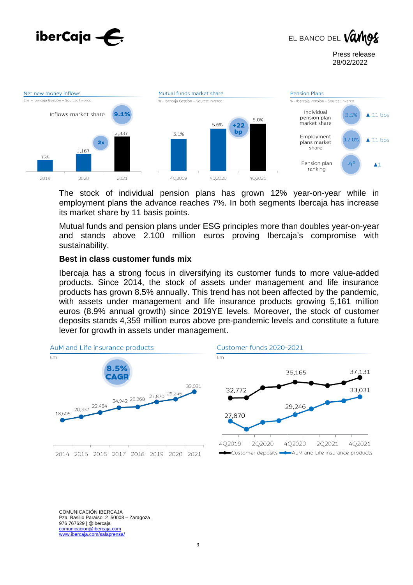





The stock of individual pension plans has grown 12% year-on-year while in employment plans the advance reaches 7%. In both segments Ibercaja has increase its market share by 11 basis points.

Mutual funds and pension plans under ESG principles more than doubles year-on-year and stands above 2.100 million euros proving Ibercaja's compromise with sustainability.

#### **Best in class customer funds mix**

Ibercaja has a strong focus in diversifying its customer funds to more value-added products. Since 2014, the stock of assets under management and life insurance products has grown 8.5% annually. This trend has not been affected by the pandemic, with assets under management and life insurance products growing 5,161 million euros (8.9% annual growth) since 2019YE levels. Moreover, the stock of customer deposits stands 4,359 million euros above pre-pandemic levels and constitute a future lever for growth in assets under management.

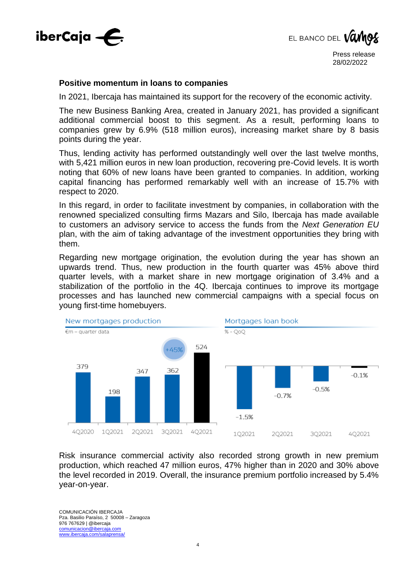



#### **Positive momentum in loans to companies**

In 2021, Ibercaja has maintained its support for the recovery of the economic activity.

The new Business Banking Area, created in January 2021, has provided a significant additional commercial boost to this segment. As a result, performing loans to companies grew by 6.9% (518 million euros), increasing market share by 8 basis points during the year.

Thus, lending activity has performed outstandingly well over the last twelve months, with 5,421 million euros in new loan production, recovering pre-Covid levels. It is worth noting that 60% of new loans have been granted to companies. In addition, working capital financing has performed remarkably well with an increase of 15.7% with respect to 2020.

In this regard, in order to facilitate investment by companies, in collaboration with the renowned specialized consulting firms Mazars and Silo, Ibercaja has made available to customers an advisory service to access the funds from the *Next Generation EU* plan, with the aim of taking advantage of the investment opportunities they bring with them.

Regarding new mortgage origination, the evolution during the year has shown an upwards trend. Thus, new production in the fourth quarter was 45% above third quarter levels, with a market share in new mortgage origination of 3.4% and a stabilization of the portfolio in the 4Q. Ibercaja continues to improve its mortgage processes and has launched new commercial campaigns with a special focus on young first-time homebuyers.



Risk insurance commercial activity also recorded strong growth in new premium production, which reached 47 million euros, 47% higher than in 2020 and 30% above the level recorded in 2019. Overall, the insurance premium portfolio increased by 5.4% year-on-year.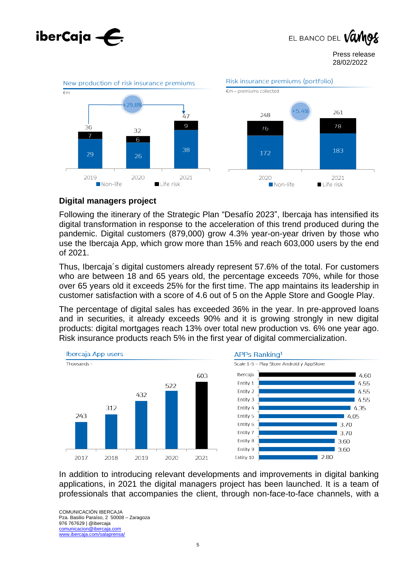

EL BANCO DEL VO

Press release 28/02/2022



## **Digital managers project**

Following the itinerary of the Strategic Plan "Desafío 2023", Ibercaja has intensified its digital transformation in response to the acceleration of this trend produced during the pandemic. Digital customers (879,000) grow 4.3% year-on-year driven by those who use the Ibercaja App, which grow more than 15% and reach 603,000 users by the end of 2021.

Thus, Ibercaja´s digital customers already represent 57.6% of the total. For customers who are between 18 and 65 years old, the percentage exceeds 70%, while for those over 65 years old it exceeds 25% for the first time. The app maintains its leadership in customer satisfaction with a score of 4.6 out of 5 on the Apple Store and Google Play.

The percentage of digital sales has exceeded 36% in the year. In pre-approved loans and in securities, it already exceeds 90% and it is growing strongly in new digital products: digital mortgages reach 13% over total new production vs. 6% one year ago. Risk insurance products reach 5% in the first year of digital commercialization.



In addition to introducing relevant developments and improvements in digital banking applications, in 2021 the digital managers project has been launched. It is a team of professionals that accompanies the client, through non-face-to-face channels, with a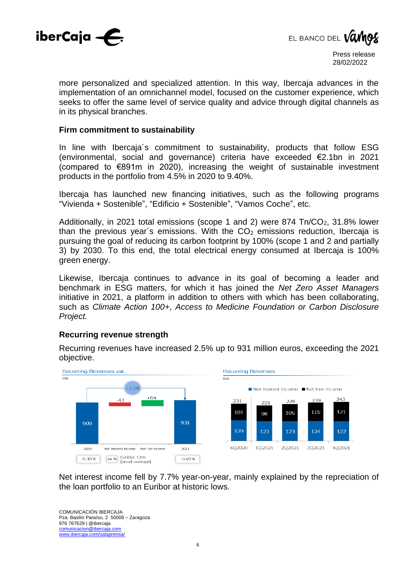



more personalized and specialized attention. In this way, Ibercaja advances in the implementation of an omnichannel model, focused on the customer experience, which seeks to offer the same level of service quality and advice through digital channels as in its physical branches.

#### **Firm commitment to sustainability**

In line with Ibercaja´s commitment to sustainability, products that follow ESG (environmental, social and governance) criteria have exceeded €2.1bn in 2021 (compared to €891m in 2020), increasing the weight of sustainable investment products in the portfolio from 4.5% in 2020 to 9.40%.

Ibercaja has launched new financing initiatives, such as the following programs "Vivienda + Sostenible", "Edificio + Sostenible", "Vamos Coche", etc.

Additionally, in 2021 total emissions (scope 1 and 2) were  $874$  Tn/CO<sub>2</sub>, 31.8% lower than the previous year's emissions. With the  $CO<sub>2</sub>$  emissions reduction, Ibercaja is pursuing the goal of reducing its carbon footprint by 100% (scope 1 and 2 and partially 3) by 2030. To this end, the total electrical energy consumed at Ibercaja is 100% green energy.

Likewise, Ibercaja continues to advance in its goal of becoming a leader and benchmark in ESG matters, for which it has joined the *Net Zero Asset Managers* initiative in 2021, a platform in addition to others with which has been collaborating, such as *Climate Action 100+, Access to Medicine Foundation or Carbon Disclosure Project.*

### **Recurring revenue strength**

Recurring revenues have increased 2.5% up to 931 million euros, exceeding the 2021 objective.



Net interest income fell by 7.7% year-on-year, mainly explained by the repreciation of the loan portfolio to an Euribor at historic lows.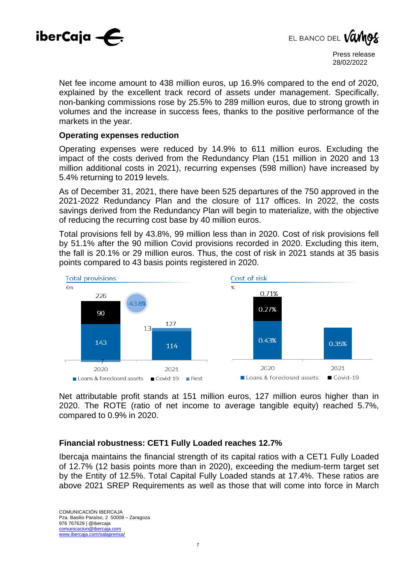



Net fee income amount to 438 million euros, up 16.9% compared to the end of 2020, explained by the excellent track record of assets under management. Specifically, non-banking commissions rose by 25.5% to 289 million euros, due to strong growth in volumes and the increase in success fees, thanks to the positive performance of the markets in the year.

#### **Operating expenses reduction**

Operating expenses were reduced by 14.9% to 611 million euros. Excluding the impact of the costs derived from the Redundancy Plan (151 million in 2020 and 13 million additional costs in 2021), recurring expenses (598 million) have increased by 5.4% returning to 2019 levels.

As of December 31, 2021, there have been 525 departures of the 750 approved in the 2021-2022 Redundancy Plan and the closure of 117 offices. In 2022, the costs savings derived from the Redundancy Plan will begin to materialize, with the objective of reducing the recurring cost base by 40 million euros.

Total provisions fell by 43.8%, 99 million less than in 2020. Cost of risk provisions fell by 51.1% after the 90 million Covid provisions recorded in 2020. Excluding this item, the fall is 20.1% or 29 million euros. Thus, the cost of risk in 2021 stands at 35 basis points compared to 43 basis points registered in 2020.



Net attributable profit stands at 151 million euros, 127 million euros higher than in 2020. The ROTE (ratio of net income to average tangible equity) reached 5.7%, compared to 0.9% in 2020.

#### **Financial robustness: CET1 Fully Loaded reaches 12.7%**

Ibercaja maintains the financial strength of its capital ratios with a CET1 Fully Loaded of 12.7% (12 basis points more than in 2020), exceeding the medium-term target set by the Entity of 12.5%. Total Capital Fully Loaded stands at 17.4%. These ratios are above 2021 SREP Requirements as well as those that will come into force in March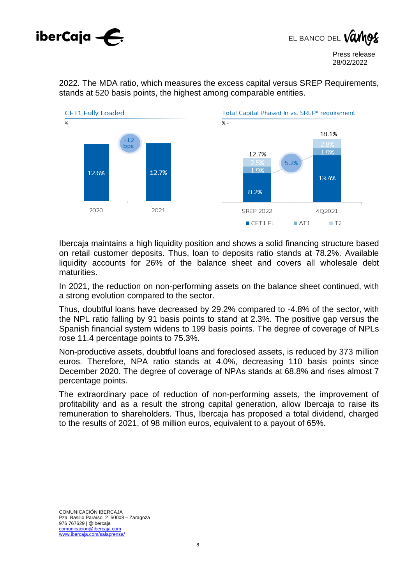



2022. The MDA ratio, which measures the excess capital versus SREP Requirements, stands at 520 basis points, the highest among comparable entities.



Ibercaja maintains a high liquidity position and shows a solid financing structure based on retail customer deposits. Thus, loan to deposits ratio stands at 78.2%. Available liquidity accounts for 26% of the balance sheet and covers all wholesale debt maturities.

In 2021, the reduction on non-performing assets on the balance sheet continued, with a strong evolution compared to the sector.

Thus, doubtful loans have decreased by 29.2% compared to -4.8% of the sector, with the NPL ratio falling by 91 basis points to stand at 2.3%. The positive gap versus the Spanish financial system widens to 199 basis points. The degree of coverage of NPLs rose 11.4 percentage points to 75.3%.

Non-productive assets, doubtful loans and foreclosed assets, is reduced by 373 million euros. Therefore, NPA ratio stands at 4.0%, decreasing 110 basis points since December 2020. The degree of coverage of NPAs stands at 68.8% and rises almost 7 percentage points.

The extraordinary pace of reduction of non-performing assets, the improvement of profitability and as a result the strong capital generation, allow Ibercaja to raise its remuneration to shareholders. Thus, Ibercaja has proposed a total dividend, charged to the results of 2021, of 98 million euros, equivalent to a payout of 65%.